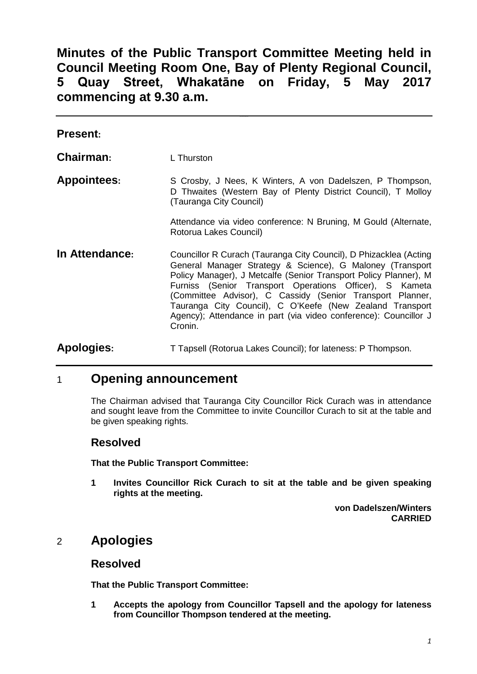**Minutes of the Public Transport Committee Meeting held in Council Meeting Room One, Bay of Plenty Regional Council, 5 Quay Street, Whakatāne on Friday, 5 May 2017 commencing at 9.30 a.m.**

| <b>Present:</b>    |                                                                                                                                                                                                                                                                                                                                                                                                                                                                       |
|--------------------|-----------------------------------------------------------------------------------------------------------------------------------------------------------------------------------------------------------------------------------------------------------------------------------------------------------------------------------------------------------------------------------------------------------------------------------------------------------------------|
| Chairman:          | L Thurston                                                                                                                                                                                                                                                                                                                                                                                                                                                            |
| <b>Appointees:</b> | S Crosby, J Nees, K Winters, A von Dadelszen, P Thompson,<br>D Thwaites (Western Bay of Plenty District Council), T Molloy<br>(Tauranga City Council)                                                                                                                                                                                                                                                                                                                 |
|                    | Attendance via video conference: N Bruning, M Gould (Alternate,<br>Rotorua Lakes Council)                                                                                                                                                                                                                                                                                                                                                                             |
| In Attendance:     | Councillor R Curach (Tauranga City Council), D Phizacklea (Acting<br>General Manager Strategy & Science), G Maloney (Transport<br>Policy Manager), J Metcalfe (Senior Transport Policy Planner), M<br>Furniss (Senior Transport Operations Officer), S Kameta<br>(Committee Advisor), C Cassidy (Senior Transport Planner,<br>Tauranga City Council), C O'Keefe (New Zealand Transport<br>Agency); Attendance in part (via video conference): Councillor J<br>Cronin. |
| <b>Apologies:</b>  | T Tapsell (Rotorua Lakes Council); for lateness: P Thompson.                                                                                                                                                                                                                                                                                                                                                                                                          |

## 1 **Opening announcement**

The Chairman advised that Tauranga City Councillor Rick Curach was in attendance and sought leave from the Committee to invite Councillor Curach to sit at the table and be given speaking rights.

#### **Resolved**

**That the Public Transport Committee:**

**1 Invites Councillor Rick Curach to sit at the table and be given speaking rights at the meeting.**

> **von Dadelszen/Winters CARRIED**

# 2 **Apologies**

#### **Resolved**

**That the Public Transport Committee:**

**1 Accepts the apology from Councillor Tapsell and the apology for lateness from Councillor Thompson tendered at the meeting.**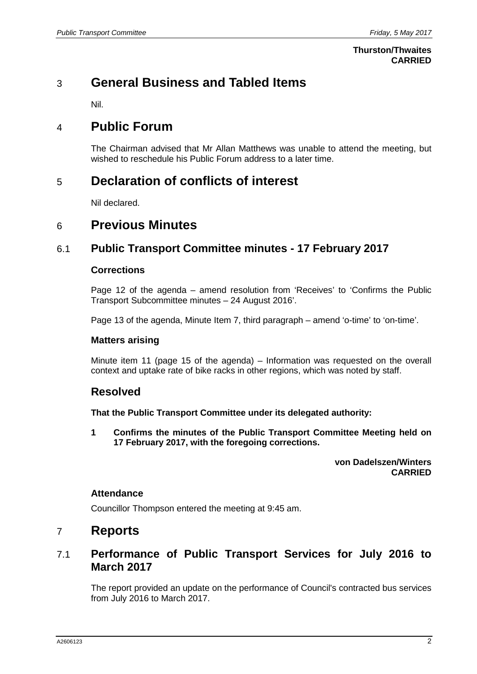#### **Thurston/Thwaites CARRIED**

# 3 **General Business and Tabled Items**

Nil.

# 4 **Public Forum**

The Chairman advised that Mr Allan Matthews was unable to attend the meeting, but wished to reschedule his Public Forum address to a later time.

# 5 **Declaration of conflicts of interest**

Nil declared.

## 6 **Previous Minutes**

### 6.1 **Public Transport Committee minutes - 17 February 2017**

#### **Corrections**

Page 12 of the agenda – amend resolution from 'Receives' to 'Confirms the Public Transport Subcommittee minutes – 24 August 2016'.

Page 13 of the agenda, Minute Item 7, third paragraph – amend 'o-time' to 'on-time'.

#### **Matters arising**

Minute item 11 (page 15 of the agenda) – Information was requested on the overall context and uptake rate of bike racks in other regions, which was noted by staff.

#### **Resolved**

**That the Public Transport Committee under its delegated authority:**

**1 Confirms the minutes of the Public Transport Committee Meeting held on 17 February 2017, with the foregoing corrections.**

> **von Dadelszen/Winters CARRIED**

#### **Attendance**

Councillor Thompson entered the meeting at 9:45 am.

## 7 **Reports**

### 7.1 **Performance of Public Transport Services for July 2016 to March 2017**

The report provided an update on the performance of Council's contracted bus services from July 2016 to March 2017.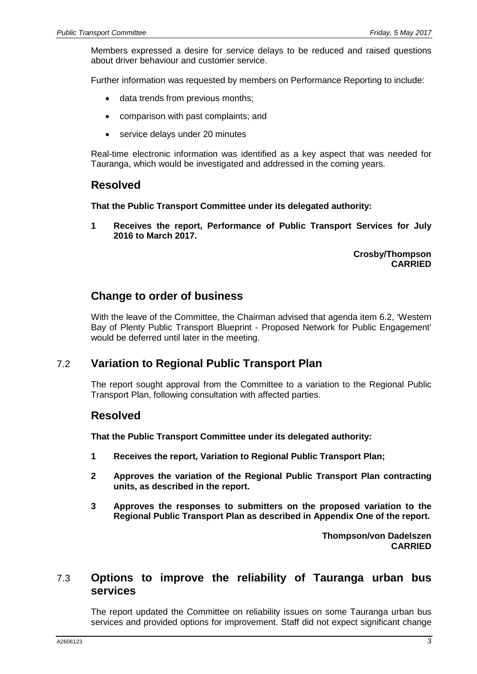Members expressed a desire for service delays to be reduced and raised questions about driver behaviour and customer service.

Further information was requested by members on Performance Reporting to include:

- data trends from previous months;
- comparison with past complaints; and
- service delays under 20 minutes

Real-time electronic information was identified as a key aspect that was needed for Tauranga, which would be investigated and addressed in the coming years.

#### **Resolved**

**That the Public Transport Committee under its delegated authority:**

**1 Receives the report, Performance of Public Transport Services for July 2016 to March 2017.**

> **Crosby/Thompson CARRIED**

### **Change to order of business**

With the leave of the Committee, the Chairman advised that agenda item 6.2, 'Western Bay of Plenty Public Transport Blueprint - Proposed Network for Public Engagement' would be deferred until later in the meeting.

#### 7.2 **Variation to Regional Public Transport Plan**

The report sought approval from the Committee to a variation to the Regional Public Transport Plan, following consultation with affected parties.

#### **Resolved**

**That the Public Transport Committee under its delegated authority:**

- **1 Receives the report, Variation to Regional Public Transport Plan;**
- **2 Approves the variation of the Regional Public Transport Plan contracting units, as described in the report.**
- **3 Approves the responses to submitters on the proposed variation to the Regional Public Transport Plan as described in Appendix One of the report.**

**Thompson/von Dadelszen CARRIED**

### 7.3 **Options to improve the reliability of Tauranga urban bus services**

The report updated the Committee on reliability issues on some Tauranga urban bus services and provided options for improvement. Staff did not expect significant change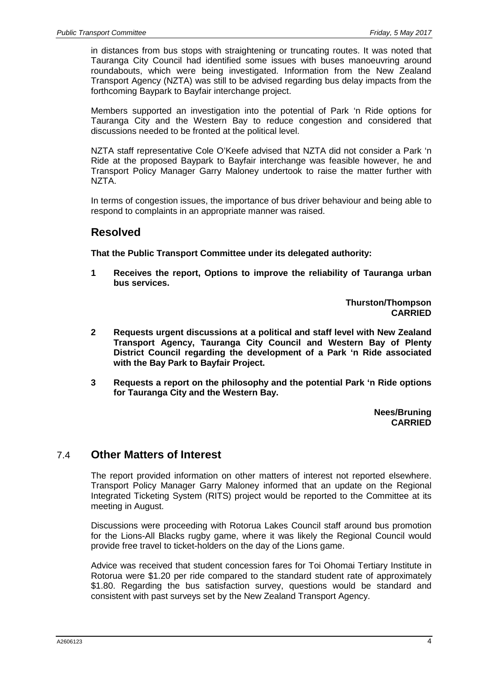in distances from bus stops with straightening or truncating routes. It was noted that Tauranga City Council had identified some issues with buses manoeuvring around roundabouts, which were being investigated. Information from the New Zealand Transport Agency (NZTA) was still to be advised regarding bus delay impacts from the forthcoming Baypark to Bayfair interchange project.

Members supported an investigation into the potential of Park 'n Ride options for Tauranga City and the Western Bay to reduce congestion and considered that discussions needed to be fronted at the political level.

NZTA staff representative Cole O'Keefe advised that NZTA did not consider a Park 'n Ride at the proposed Baypark to Bayfair interchange was feasible however, he and Transport Policy Manager Garry Maloney undertook to raise the matter further with NZTA.

In terms of congestion issues, the importance of bus driver behaviour and being able to respond to complaints in an appropriate manner was raised.

#### **Resolved**

**That the Public Transport Committee under its delegated authority:**

**1 Receives the report, Options to improve the reliability of Tauranga urban bus services.**

> **Thurston/Thompson CARRIED**

- **2 Requests urgent discussions at a political and staff level with New Zealand Transport Agency, Tauranga City Council and Western Bay of Plenty District Council regarding the development of a Park 'n Ride associated with the Bay Park to Bayfair Project.**
- **3 Requests a report on the philosophy and the potential Park 'n Ride options for Tauranga City and the Western Bay.**

**Nees/Bruning CARRIED**

#### 7.4 **Other Matters of Interest**

The report provided information on other matters of interest not reported elsewhere. Transport Policy Manager Garry Maloney informed that an update on the Regional Integrated Ticketing System (RITS) project would be reported to the Committee at its meeting in August.

Discussions were proceeding with Rotorua Lakes Council staff around bus promotion for the Lions-All Blacks rugby game, where it was likely the Regional Council would provide free travel to ticket-holders on the day of the Lions game.

Advice was received that student concession fares for Toi Ohomai Tertiary Institute in Rotorua were \$1.20 per ride compared to the standard student rate of approximately \$1.80. Regarding the bus satisfaction survey, questions would be standard and consistent with past surveys set by the New Zealand Transport Agency.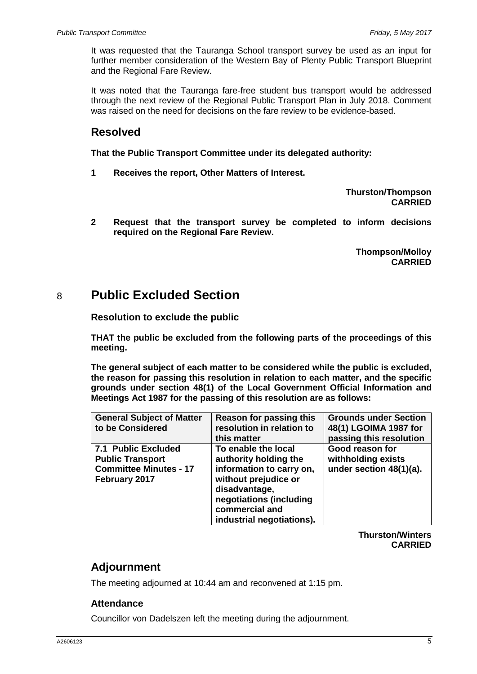It was requested that the Tauranga School transport survey be used as an input for further member consideration of the Western Bay of Plenty Public Transport Blueprint and the Regional Fare Review.

It was noted that the Tauranga fare-free student bus transport would be addressed through the next review of the Regional Public Transport Plan in July 2018. Comment was raised on the need for decisions on the fare review to be evidence-based.

## **Resolved**

**That the Public Transport Committee under its delegated authority:**

**1 Receives the report, Other Matters of Interest.**

**Thurston/Thompson CARRIED**

**2 Request that the transport survey be completed to inform decisions required on the Regional Fare Review.**

> **Thompson/Molloy CARRIED**

# 8 **Public Excluded Section**

**Resolution to exclude the public**

**THAT the public be excluded from the following parts of the proceedings of this meeting.**

**The general subject of each matter to be considered while the public is excluded, the reason for passing this resolution in relation to each matter, and the specific grounds under section 48(1) of the Local Government Official Information and Meetings Act 1987 for the passing of this resolution are as follows:**

| <b>General Subject of Matter</b><br>to be Considered                                             | Reason for passing this<br>resolution in relation to<br>this matter                                                                                                                         | <b>Grounds under Section</b><br>48(1) LGOIMA 1987 for<br>passing this resolution |
|--------------------------------------------------------------------------------------------------|---------------------------------------------------------------------------------------------------------------------------------------------------------------------------------------------|----------------------------------------------------------------------------------|
| 7.1 Public Excluded<br><b>Public Transport</b><br><b>Committee Minutes - 17</b><br>February 2017 | To enable the local<br>authority holding the<br>information to carry on,<br>without prejudice or<br>disadvantage,<br>negotiations (including<br>commercial and<br>industrial negotiations). | Good reason for<br>withholding exists<br>under section 48(1)(a).                 |

**Thurston/Winters CARRIED**

## **Adjournment**

The meeting adjourned at 10:44 am and reconvened at 1:15 pm.

#### **Attendance**

Councillor von Dadelszen left the meeting during the adjournment.